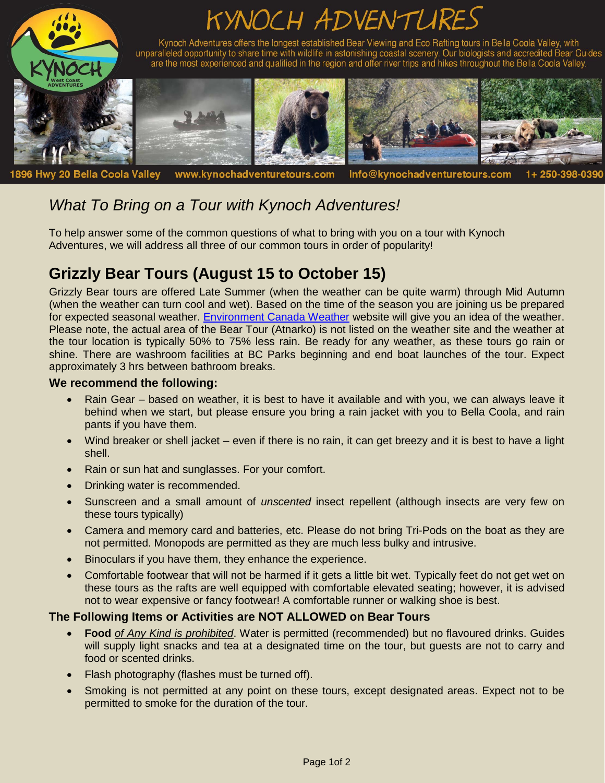

# *What To Bring on a Tour with Kynoch Adventures!*

To help answer some of the common questions of what to bring with you on a tour with Kynoch Adventures, we will address all three of our common tours in order of popularity!

## **Grizzly Bear Tours (August 15 to October 15)**

Grizzly Bear tours are offered Late Summer (when the weather can be quite warm) through Mid Autumn (when the weather can turn cool and wet). Based on the time of the season you are joining us be prepared for expected seasonal weather. [Environment Canada Weather](https://weather.gc.ca/city/pages/bc-18_metric_e.html) website will give you an idea of the weather. Please note, the actual area of the Bear Tour (Atnarko) is not listed on the weather site and the weather at the tour location is typically 50% to 75% less rain. Be ready for any weather, as these tours go rain or shine. There are washroom facilities at BC Parks beginning and end boat launches of the tour. Expect approximately 3 hrs between bathroom breaks.

#### **We recommend the following:**

- Rain Gear based on weather, it is best to have it available and with you, we can always leave it behind when we start, but please ensure you bring a rain jacket with you to Bella Coola, and rain pants if you have them.
- Wind breaker or shell jacket even if there is no rain, it can get breezy and it is best to have a light shell.
- Rain or sun hat and sunglasses. For your comfort.
- Drinking water is recommended.
- Sunscreen and a small amount of *unscented* insect repellent (although insects are very few on these tours typically)
- Camera and memory card and batteries, etc. Please do not bring Tri-Pods on the boat as they are not permitted. Monopods are permitted as they are much less bulky and intrusive.
- Binoculars if you have them, they enhance the experience.
- Comfortable footwear that will not be harmed if it gets a little bit wet. Typically feet do not get wet on these tours as the rafts are well equipped with comfortable elevated seating; however, it is advised not to wear expensive or fancy footwear! A comfortable runner or walking shoe is best.

#### **The Following Items or Activities are NOT ALLOWED on Bear Tours**

- **Food** *of Any Kind is prohibited*. Water is permitted (recommended) but no flavoured drinks. Guides will supply light snacks and tea at a designated time on the tour, but guests are not to carry and food or scented drinks.
- Flash photography (flashes must be turned off).
- Smoking is not permitted at any point on these tours, except designated areas. Expect not to be permitted to smoke for the duration of the tour.